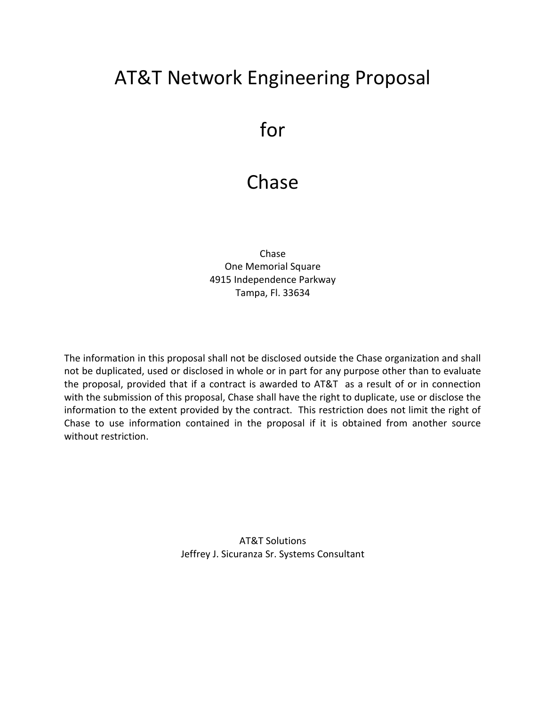# AT&T Network Engineering Proposal

# for

# Chase

Chase One Memorial Square 4915 Independence Parkway Tampa, Fl. 33634

The information in this proposal shall not be disclosed outside the Chase organization and shall not be duplicated, used or disclosed in whole or in part for any purpose other than to evaluate the proposal, provided that if a contract is awarded to AT&T as a result of or in connection with the submission of this proposal, Chase shall have the right to duplicate, use or disclose the information to the extent provided by the contract. This restriction does not limit the right of Chase to use information contained in the proposal if it is obtained from another source without restriction.

> AT&T Solutions Jeffrey J. Sicuranza Sr. Systems Consultant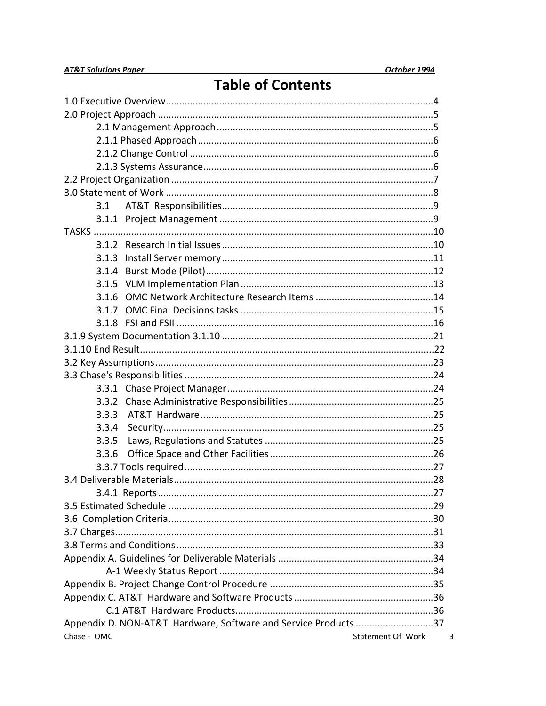$\mathbf{3}$ 

# **Table of Contents**

| 3.1                                                             |                   |
|-----------------------------------------------------------------|-------------------|
|                                                                 |                   |
|                                                                 |                   |
|                                                                 |                   |
|                                                                 |                   |
|                                                                 |                   |
|                                                                 |                   |
| 3.1.6                                                           |                   |
|                                                                 |                   |
|                                                                 |                   |
|                                                                 |                   |
|                                                                 |                   |
|                                                                 |                   |
|                                                                 |                   |
|                                                                 |                   |
|                                                                 |                   |
| 3.3.3                                                           |                   |
| 3.3.4                                                           |                   |
| 3.3.5                                                           |                   |
| 3.3.6                                                           |                   |
|                                                                 |                   |
|                                                                 |                   |
|                                                                 |                   |
|                                                                 |                   |
|                                                                 |                   |
|                                                                 |                   |
|                                                                 |                   |
|                                                                 |                   |
|                                                                 |                   |
|                                                                 |                   |
|                                                                 |                   |
|                                                                 |                   |
| Appendix D. NON-AT&T Hardware, Software and Service Products 37 |                   |
| Chase - OMC                                                     | Statement Of Work |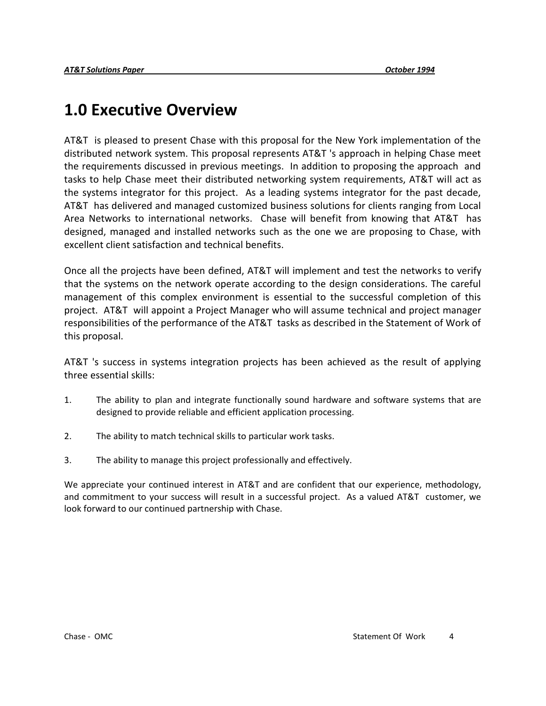# **1.0 Executive Overview**

AT&T is pleased to present Chase with this proposal for the New York implementation of the distributed network system. This proposal represents AT&T 's approach in helping Chase meet the requirements discussed in previous meetings. In addition to proposing the approach and tasks to help Chase meet their distributed networking system requirements, AT&T will act as the systems integrator for this project. As a leading systems integrator for the past decade, AT&T has delivered and managed customized business solutions for clients ranging from Local Area Networks to international networks. Chase will benefit from knowing that AT&T has designed, managed and installed networks such as the one we are proposing to Chase, with excellent client satisfaction and technical benefits.

Once all the projects have been defined, AT&T will implement and test the networks to verify that the systems on the network operate according to the design considerations. The careful management of this complex environment is essential to the successful completion of this project. AT&T will appoint a Project Manager who will assume technical and project manager responsibilities of the performance of the AT&T tasks as described in the Statement of Work of this proposal.

AT&T 's success in systems integration projects has been achieved as the result of applying three essential skills:

- 1. The ability to plan and integrate functionally sound hardware and software systems that are designed to provide reliable and efficient application processing.
- 2. The ability to match technical skills to particular work tasks.
- 3. The ability to manage this project professionally and effectively.

We appreciate your continued interest in AT&T and are confident that our experience, methodology, and commitment to your success will result in a successful project. As a valued AT&T customer, we look forward to our continued partnership with Chase.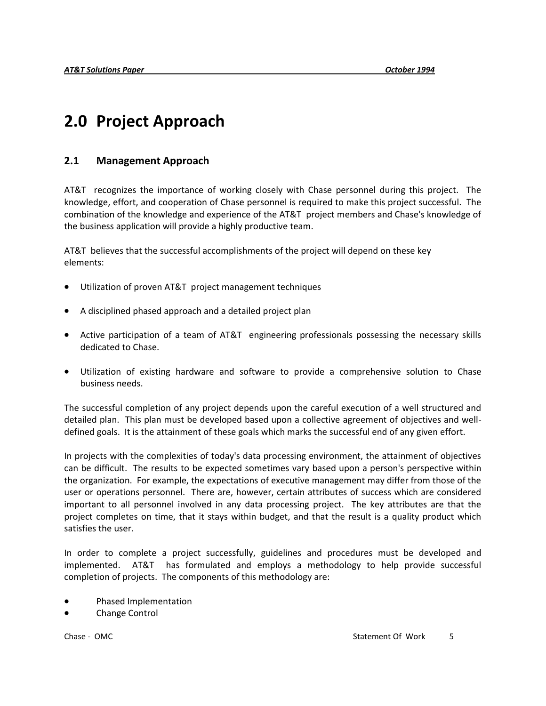# **2.0 Project Approach**

#### **2.1 Management Approach**

AT&T recognizes the importance of working closely with Chase personnel during this project. The knowledge, effort, and cooperation of Chase personnel is required to make this project successful. The combination of the knowledge and experience of the AT&T project members and Chase's knowledge of the business application will provide a highly productive team.

AT&T believes that the successful accomplishments of the project will depend on these key elements:

- Utilization of proven AT&T project management techniques
- A disciplined phased approach and a detailed project plan
- Active participation of a team of AT&T engineering professionals possessing the necessary skills dedicated to Chase.
- Utilization of existing hardware and software to provide a comprehensive solution to Chase business needs.

The successful completion of any project depends upon the careful execution of a well structured and detailed plan. This plan must be developed based upon a collective agreement of objectives and welldefined goals. It is the attainment of these goals which marks the successful end of any given effort.

In projects with the complexities of today's data processing environment, the attainment of objectives can be difficult. The results to be expected sometimes vary based upon a person's perspective within the organization. For example, the expectations of executive management may differ from those of the user or operations personnel. There are, however, certain attributes of success which are considered important to all personnel involved in any data processing project. The key attributes are that the project completes on time, that it stays within budget, and that the result is a quality product which satisfies the user.

In order to complete a project successfully, guidelines and procedures must be developed and implemented. AT&T has formulated and employs a methodology to help provide successful completion of projects. The components of this methodology are:

- Phased Implementation
- Change Control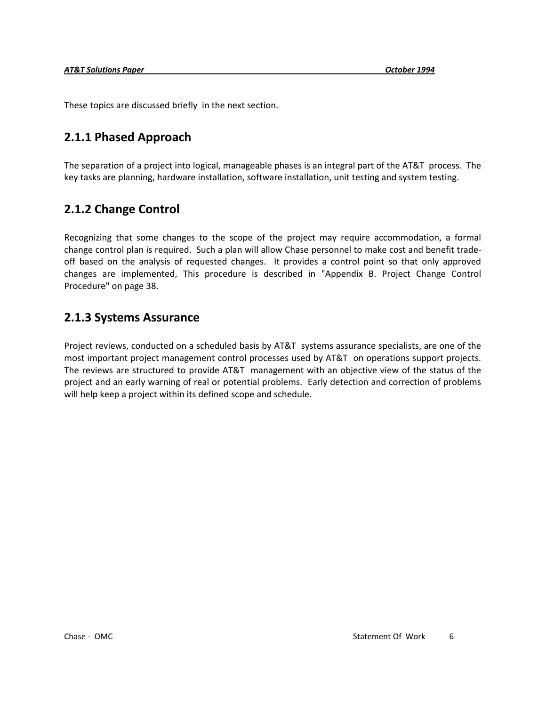These topics are discussed briefly in the next section.

### **2.1.1 Phased Approach**

The separation of a project into logical, manageable phases is an integral part of the AT&T process. The key tasks are planning, hardware installation, software installation, unit testing and system testing.

### **2.1.2 Change Control**

Recognizing that some changes to the scope of the project may require accommodation, a formal change control plan is required. Such a plan will allow Chase personnel to make cost and benefit tradeoff based on the analysis of requested changes. It provides a control point so that only approved changes are implemented, This procedure is described in "Appendix B. Project Change Control Procedure" on page 38.

### **2.1.3 Systems Assurance**

Project reviews, conducted on a scheduled basis by AT&T systems assurance specialists, are one of the most important project management control processes used by AT&T on operations support projects. The reviews are structured to provide AT&T management with an objective view of the status of the project and an early warning of real or potential problems. Early detection and correction of problems will help keep a project within its defined scope and schedule.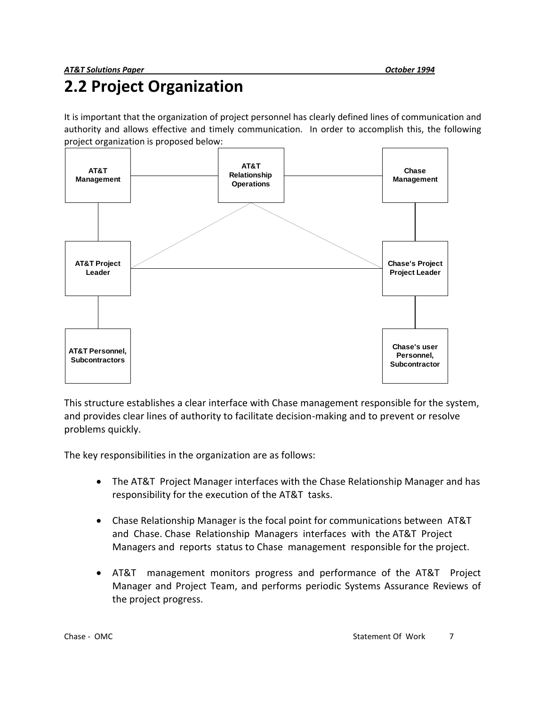# **2.2 Project Organization**

It is important that the organization of project personnel has clearly defined lines of communication and authority and allows effective and timely communication. In order to accomplish this, the following project organization is proposed below:



This structure establishes a clear interface with Chase management responsible for the system, and provides clear lines of authority to facilitate decision-making and to prevent or resolve problems quickly.

The key responsibilities in the organization are as follows:

- The AT&T Project Manager interfaces with the Chase Relationship Manager and has responsibility for the execution of the AT&T tasks.
- Chase Relationship Manager is the focal point for communications between AT&T and Chase. Chase Relationship Managers interfaces with the AT&T Project Managers and reports status to Chase management responsible for the project.
- AT&T management monitors progress and performance of the AT&T Project Manager and Project Team, and performs periodic Systems Assurance Reviews of the project progress.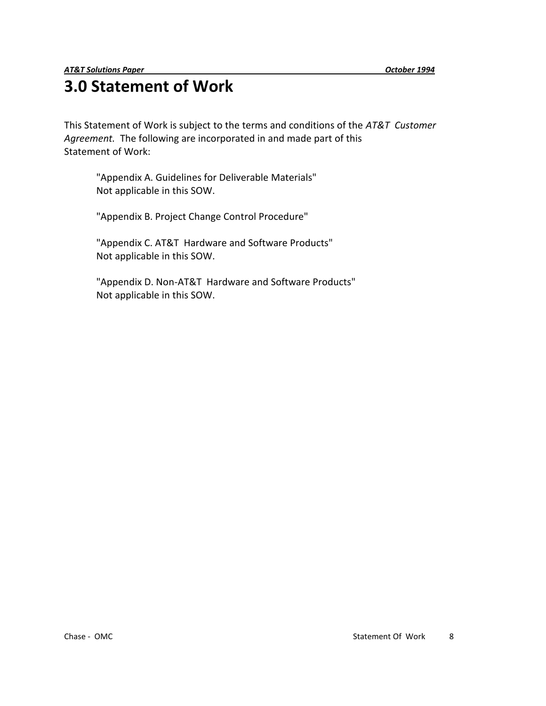# **3.0 Statement of Work**

This Statement of Work is subject to the terms and conditions of the *AT&T Customer Agreement.* The following are incorporated in and made part of this Statement of Work:

 "Appendix A. Guidelines for Deliverable Materials" Not applicable in this SOW.

"Appendix B. Project Change Control Procedure"

"Appendix C. AT&T Hardware and Software Products" Not applicable in this SOW.

"Appendix D. Non-AT&T Hardware and Software Products" Not applicable in this SOW.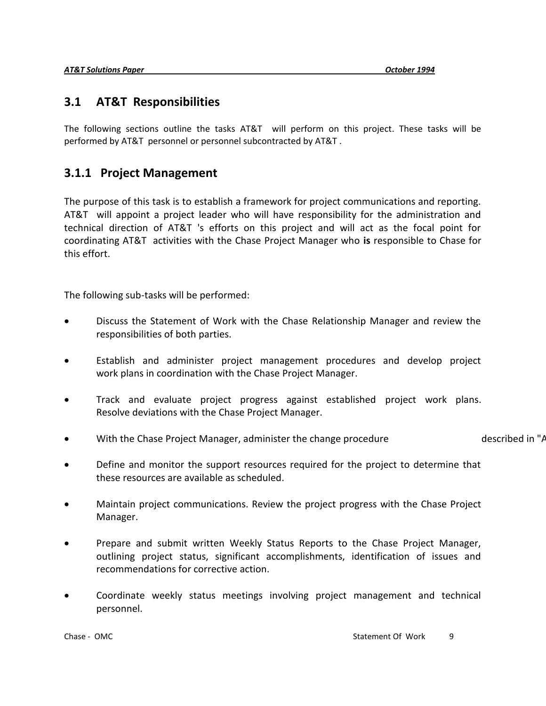### **3.1 AT&T Responsibilities**

The following sections outline the tasks AT&T will perform on this project. These tasks will be performed by AT&T personnel or personnel subcontracted by AT&T .

### **3.1.1 Project Management**

The purpose of this task is to establish a framework for project communications and reporting. AT&T will appoint a project leader who will have responsibility for the administration and technical direction of AT&T 's efforts on this project and will act as the focal point for coordinating AT&T activities with the Chase Project Manager who **is** responsible to Chase for this effort.

The following sub-tasks will be performed:

- Discuss the Statement of Work with the Chase Relationship Manager and review the responsibilities of both parties.
- Establish and administer project management procedures and develop project work plans in coordination with the Chase Project Manager.
- Track and evaluate project progress against established project work plans. Resolve deviations with the Chase Project Manager.
- With the Chase Project Manager, administer the change procedure described in "Appendix B. Project Change Control Pro
- Define and monitor the support resources required for the project to determine that these resources are available as scheduled.
- Maintain project communications. Review the project progress with the Chase Project Manager.
- Prepare and submit written Weekly Status Reports to the Chase Project Manager, outlining project status, significant accomplishments, identification of issues and recommendations for corrective action.
- Coordinate weekly status meetings involving project management and technical personnel.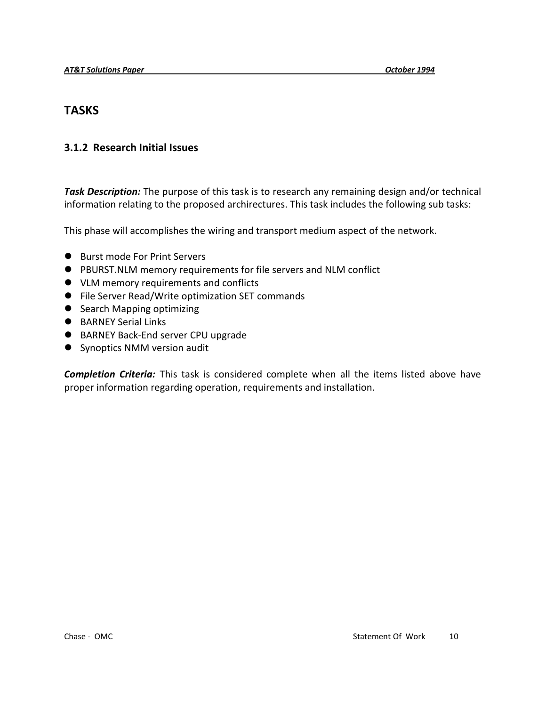### **TASKS**

#### **3.1.2 Research Initial Issues**

*Task Description:* The purpose of this task is to research any remaining design and/or technical information relating to the proposed archirectures. This task includes the following sub tasks:

This phase will accomplishes the wiring and transport medium aspect of the network.

- Burst mode For Print Servers
- PBURST.NLM memory requirements for file servers and NLM conflict
- VLM memory requirements and conflicts
- File Server Read/Write optimization SET commands
- Search Mapping optimizing
- BARNEY Serial Links
- BARNEY Back-End server CPU upgrade
- Synoptics NMM version audit

*Completion Criteria:* This task is considered complete when all the items listed above have proper information regarding operation, requirements and installation.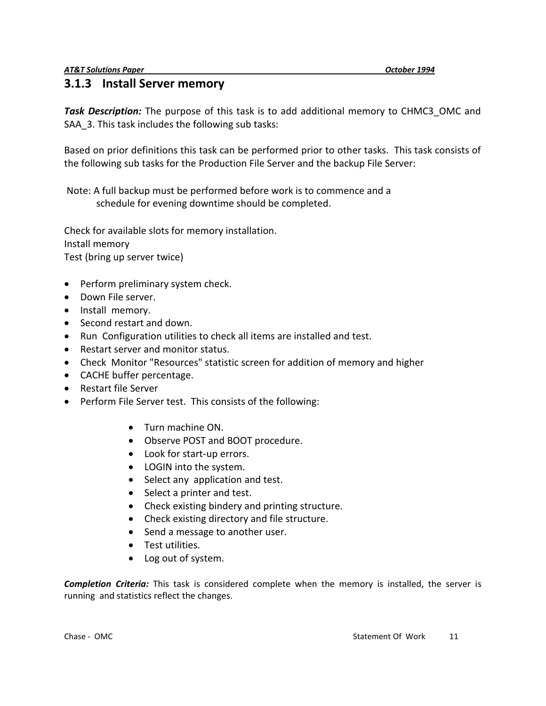#### **3.1.3 Install Server memory**

*Task Description:* The purpose of this task is to add additional memory to CHMC3\_OMC and SAA 3. This task includes the following sub tasks:

Based on prior definitions this task can be performed prior to other tasks. This task consists of the following sub tasks for the Production File Server and the backup File Server:

Note: A full backup must be performed before work is to commence and a schedule for evening downtime should be completed.

Check for available slots for memory installation. Install memory Test (bring up server twice)

- Perform preliminary system check.
- Down File server.
- Install memory.
- Second restart and down.
- Run Configuration utilities to check all items are installed and test.
- Restart server and monitor status.
- Check Monitor "Resources" statistic screen for addition of memory and higher
- CACHE buffer percentage.
- Restart file Server
- Perform File Server test. This consists of the following:
	- Turn machine ON.
	- Observe POST and BOOT procedure.
	- Look for start-up errors.
	- LOGIN into the system.
	- Select any application and test.
	- Select a printer and test.
	- Check existing bindery and printing structure.
	- Check existing directory and file structure.
	- Send a message to another user.
	- Test utilities.
	- Log out of system.

*Completion Criteria:* This task is considered complete when the memory is installed, the server is running and statistics reflect the changes.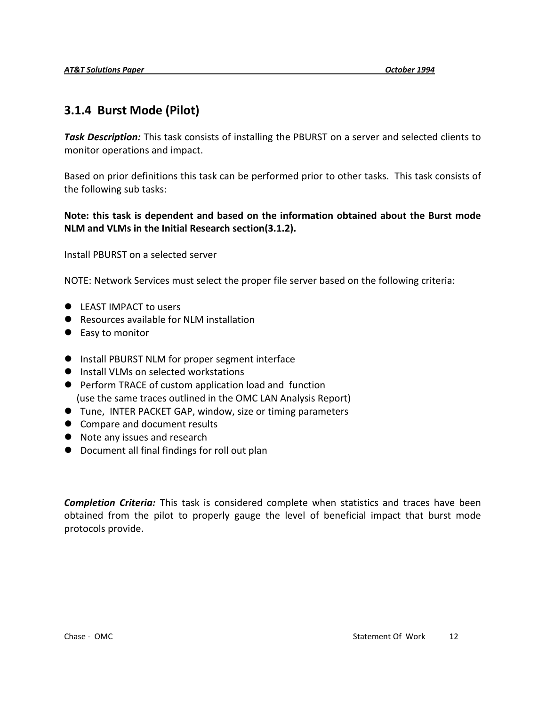### **3.1.4 Burst Mode (Pilot)**

*Task Description:* This task consists of installing the PBURST on a server and selected clients to monitor operations and impact.

Based on prior definitions this task can be performed prior to other tasks. This task consists of the following sub tasks:

#### **Note: this task is dependent and based on the information obtained about the Burst mode NLM and VLMs in the Initial Research section(3.1.2).**

Install PBURST on a selected server

NOTE: Network Services must select the proper file server based on the following criteria:

- LEAST IMPACT to users
- Resources available for NLM installation
- Easy to monitor
- Install PBURST NLM for proper segment interface
- **•** Install VLMs on selected workstations
- Perform TRACE of custom application load and function (use the same traces outlined in the OMC LAN Analysis Report)
- Tune, INTER PACKET GAP, window, size or timing parameters
- Compare and document results
- Note any issues and research
- Document all final findings for roll out plan

*Completion Criteria:* This task is considered complete when statistics and traces have been obtained from the pilot to properly gauge the level of beneficial impact that burst mode protocols provide.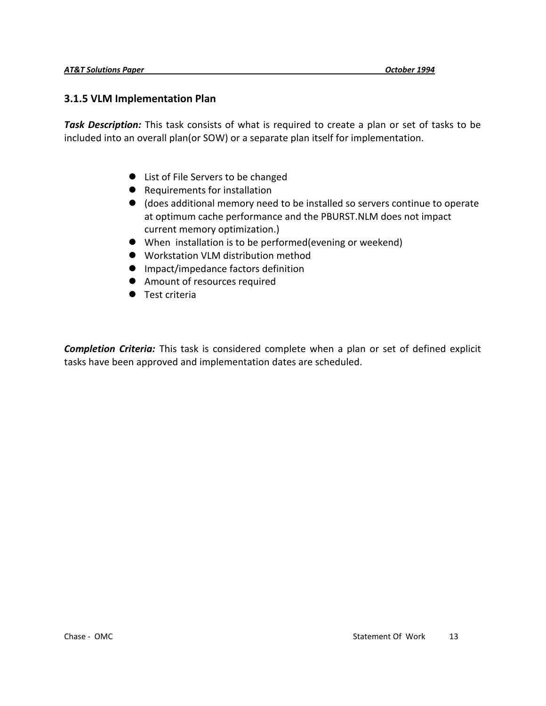#### **3.1.5 VLM Implementation Plan**

*Task Description:* This task consists of what is required to create a plan or set of tasks to be included into an overall plan(or SOW) or a separate plan itself for implementation.

- List of File Servers to be changed
- Requirements for installation
- (does additional memory need to be installed so servers continue to operate at optimum cache performance and the PBURST.NLM does not impact current memory optimization.)
- When installation is to be performed(evening or weekend)
- Workstation VLM distribution method
- **•** Impact/impedance factors definition
- Amount of resources required
- **Test criteria**

*Completion Criteria:* This task is considered complete when a plan or set of defined explicit tasks have been approved and implementation dates are scheduled.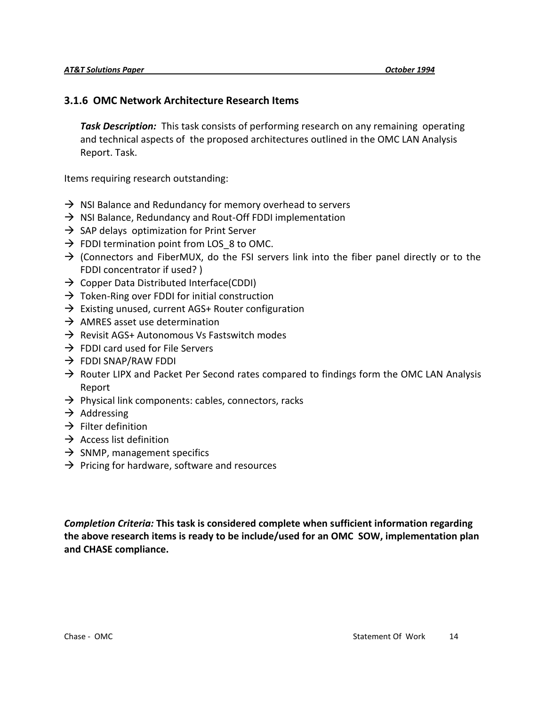#### **3.1.6 OMC Network Architecture Research Items**

*Task Description:* This task consists of performing research on any remaining operating and technical aspects of the proposed architectures outlined in the OMC LAN Analysis Report. Task.

Items requiring research outstanding:

- $\rightarrow$  NSI Balance and Redundancy for memory overhead to servers
- $\rightarrow$  NSI Balance, Redundancy and Rout-Off FDDI implementation
- $\rightarrow$  SAP delays optimization for Print Server
- $\rightarrow$  FDDI termination point from LOS 8 to OMC.
- $\rightarrow$  (Connectors and FiberMUX, do the FSI servers link into the fiber panel directly or to the FDDI concentrator if used? )
- $\rightarrow$  Copper Data Distributed Interface(CDDI)
- $\rightarrow$  Token-Ring over FDDI for initial construction
- $\rightarrow$  Existing unused, current AGS+ Router configuration
- $\rightarrow$  AMRES asset use determination
- $\rightarrow$  Revisit AGS+ Autonomous Vs Fastswitch modes
- $\rightarrow$  FDDI card used for File Servers
- $\rightarrow$  FDDI SNAP/RAW FDDI
- $\rightarrow$  Router LIPX and Packet Per Second rates compared to findings form the OMC LAN Analysis Report
- $\rightarrow$  Physical link components: cables, connectors, racks
- $\rightarrow$  Addressing
- $\rightarrow$  Filter definition
- $\rightarrow$  Access list definition
- $\rightarrow$  SNMP, management specifics
- $\rightarrow$  Pricing for hardware, software and resources

*Completion Criteria:* **This task is considered complete when sufficient information regarding the above research items is ready to be include/used for an OMC SOW, implementation plan and CHASE compliance.**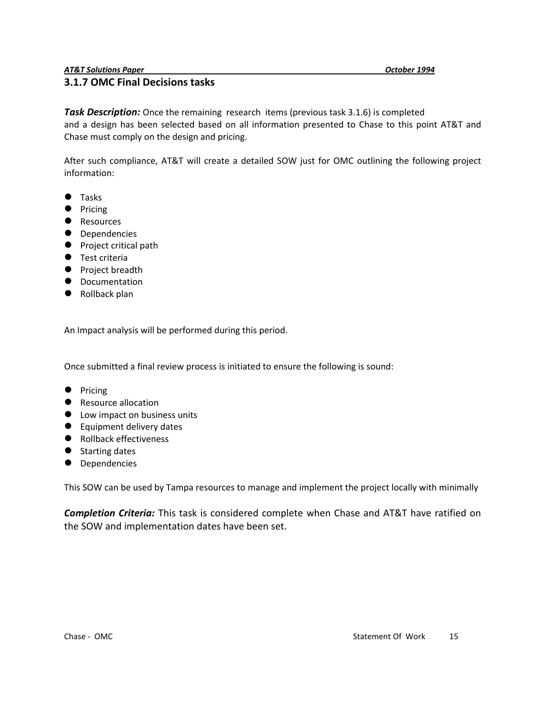#### **3.1.7 OMC Final Decisions tasks**

**Task Description:** Once the remaining research items (previous task 3.1.6) is completed and a design has been selected based on all information presented to Chase to this point AT&T and Chase must comply on the design and pricing.

After such compliance, AT&T will create a detailed SOW just for OMC outlining the following project information:

- **Tasks**
- Pricing
- **Resources**
- **•** Dependencies
- **•** Project critical path
- **Test criteria**
- **•** Project breadth
- **•** Documentation
- Rollback plan

An Impact analysis will be performed during this period.

Once submitted a final review process is initiated to ensure the following is sound:

- Pricing
- Resource allocation
- Low impact on business units
- Equipment delivery dates
- Rollback effectiveness
- Starting dates
- **•** Dependencies

This SOW can be used by Tampa resources to manage and implement the project locally with minimally

*Completion Criteria:* This task is considered complete when Chase and AT&T have ratified on the SOW and implementation dates have been set.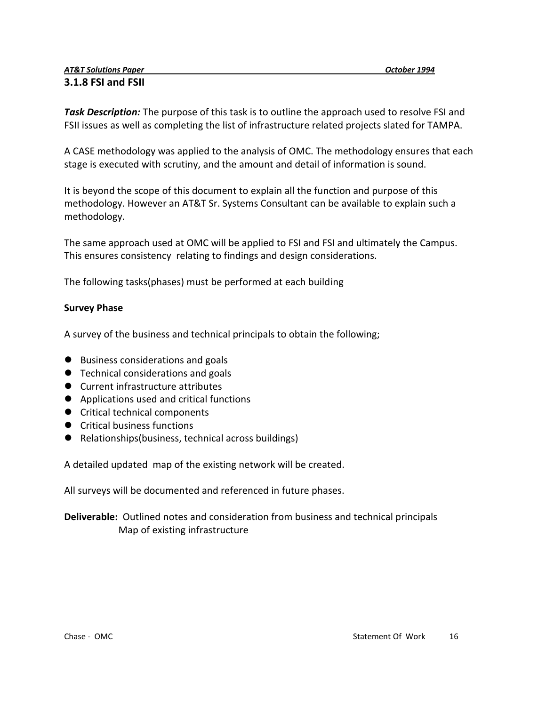#### *AT&T Solutions Paper October 1994* **3.1.8 FSI and FSII**

*Task Description:* The purpose of this task is to outline the approach used to resolve FSI and FSII issues as well as completing the list of infrastructure related projects slated for TAMPA.

A CASE methodology was applied to the analysis of OMC. The methodology ensures that each stage is executed with scrutiny, and the amount and detail of information is sound.

It is beyond the scope of this document to explain all the function and purpose of this methodology. However an AT&T Sr. Systems Consultant can be available to explain such a methodology.

The same approach used at OMC will be applied to FSI and FSI and ultimately the Campus. This ensures consistency relating to findings and design considerations.

The following tasks(phases) must be performed at each building

#### **Survey Phase**

A survey of the business and technical principals to obtain the following;

- Business considerations and goals
- Technical considerations and goals
- Current infrastructure attributes
- Applications used and critical functions
- Critical technical components
- **•** Critical business functions
- Relationships(business, technical across buildings)

A detailed updated map of the existing network will be created.

All surveys will be documented and referenced in future phases.

#### **Deliverable:** Outlined notes and consideration from business and technical principals Map of existing infrastructure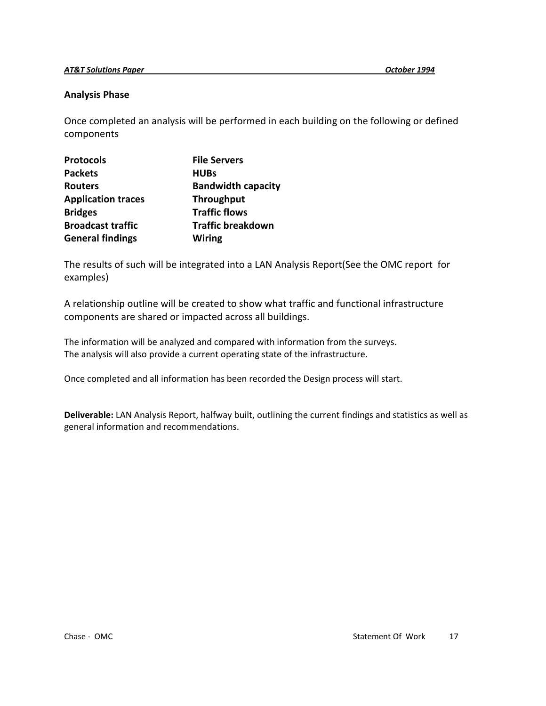#### **Analysis Phase**

Once completed an analysis will be performed in each building on the following or defined components

| <b>Protocols</b>          | <b>File Servers</b>       |
|---------------------------|---------------------------|
| <b>Packets</b>            | <b>HUBs</b>               |
| <b>Routers</b>            | <b>Bandwidth capacity</b> |
| <b>Application traces</b> | <b>Throughput</b>         |
| <b>Bridges</b>            | <b>Traffic flows</b>      |
| <b>Broadcast traffic</b>  | <b>Traffic breakdown</b>  |
| <b>General findings</b>   | <b>Wiring</b>             |

The results of such will be integrated into a LAN Analysis Report(See the OMC report for examples)

A relationship outline will be created to show what traffic and functional infrastructure components are shared or impacted across all buildings.

The information will be analyzed and compared with information from the surveys. The analysis will also provide a current operating state of the infrastructure.

Once completed and all information has been recorded the Design process will start.

**Deliverable:** LAN Analysis Report, halfway built, outlining the current findings and statistics as well as general information and recommendations.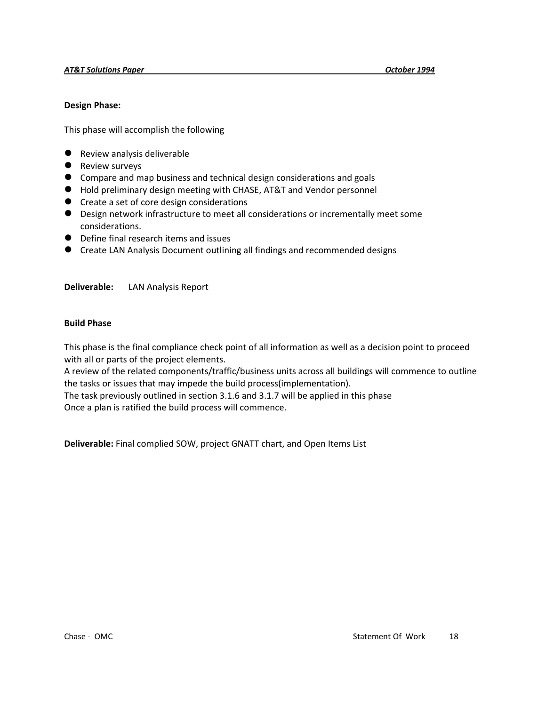#### **Design Phase:**

This phase will accomplish the following

- Review analysis deliverable
- **•** Review surveys
- Compare and map business and technical design considerations and goals
- Hold preliminary design meeting with CHASE, AT&T and Vendor personnel
- Create a set of core design considerations
- Design network infrastructure to meet all considerations or incrementally meet some considerations.
- Define final research items and issues
- Create LAN Analysis Document outlining all findings and recommended designs

#### **Deliverable:** LAN Analysis Report

#### **Build Phase**

This phase is the final compliance check point of all information as well as a decision point to proceed with all or parts of the project elements.

A review of the related components/traffic/business units across all buildings will commence to outline the tasks or issues that may impede the build process(implementation).

The task previously outlined in section 3.1.6 and 3.1.7 will be applied in this phase Once a plan is ratified the build process will commence.

**Deliverable:** Final complied SOW, project GNATT chart, and Open Items List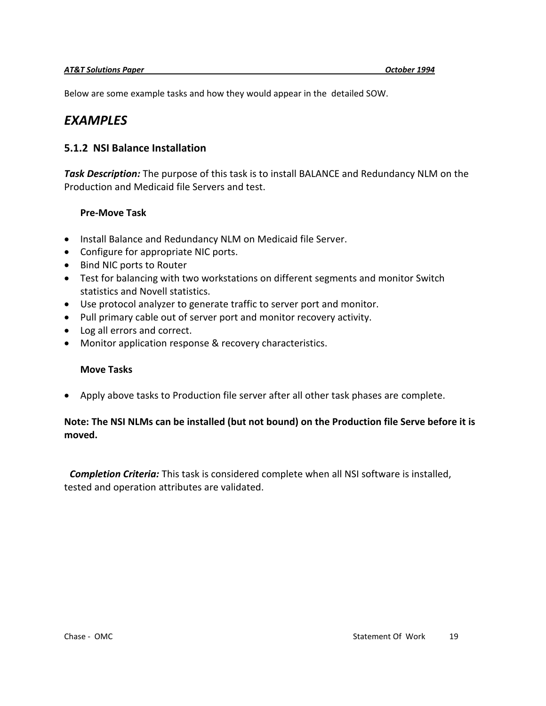Below are some example tasks and how they would appear in the detailed SOW.

# *EXAMPLES*

#### **5.1.2 NSI Balance Installation**

*Task Description:* The purpose of this task is to install BALANCE and Redundancy NLM on the Production and Medicaid file Servers and test.

#### **Pre-Move Task**

- Install Balance and Redundancy NLM on Medicaid file Server.
- Configure for appropriate NIC ports.
- Bind NIC ports to Router
- Test for balancing with two workstations on different segments and monitor Switch statistics and Novell statistics.
- Use protocol analyzer to generate traffic to server port and monitor.
- Pull primary cable out of server port and monitor recovery activity.
- Log all errors and correct.
- Monitor application response & recovery characteristics.

#### **Move Tasks**

Apply above tasks to Production file server after all other task phases are complete.

#### **Note: The NSI NLMs can be installed (but not bound) on the Production file Serve before it is moved.**

 *Completion Criteria:* This task is considered complete when all NSI software is installed, tested and operation attributes are validated.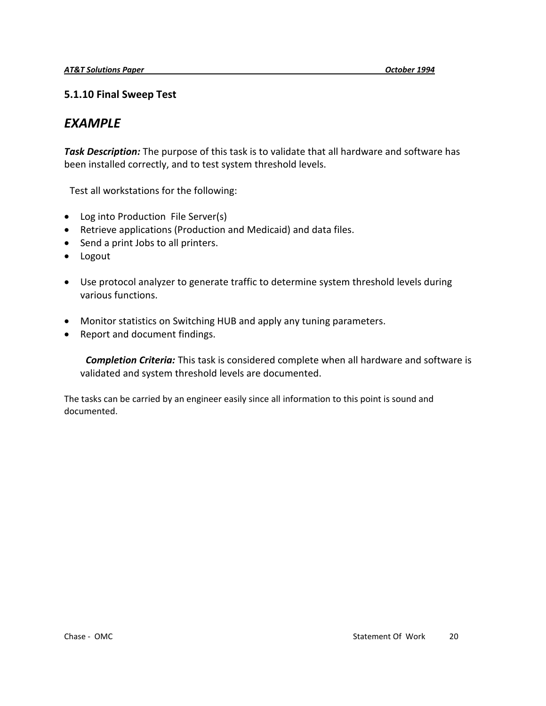#### **5.1.10 Final Sweep Test**

# *EXAMPLE*

*Task Description:* The purpose of this task is to validate that all hardware and software has been installed correctly, and to test system threshold levels.

Test all workstations for the following:

- Log into Production File Server(s)
- Retrieve applications (Production and Medicaid) and data files.
- Send a print Jobs to all printers.
- Logout
- Use protocol analyzer to generate traffic to determine system threshold levels during various functions.
- Monitor statistics on Switching HUB and apply any tuning parameters.
- Report and document findings.

 *Completion Criteria:* This task is considered complete when all hardware and software is validated and system threshold levels are documented.

The tasks can be carried by an engineer easily since all information to this point is sound and documented.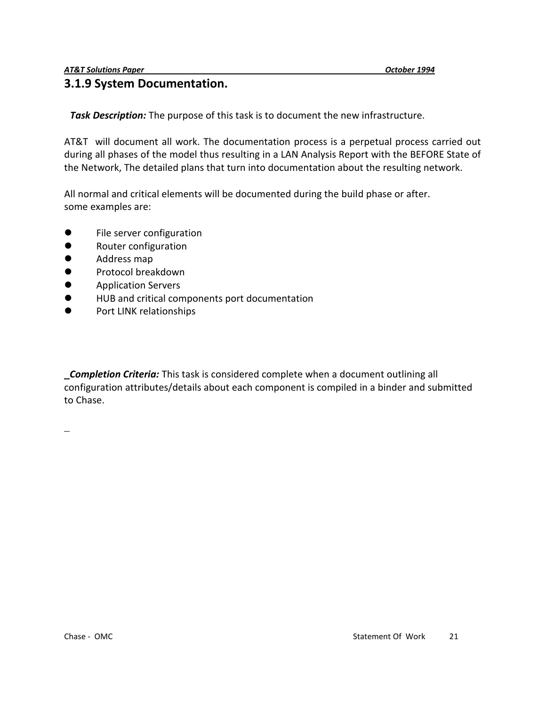### **3.1.9 System Documentation.**

*Task Description:* The purpose of this task is to document the new infrastructure.

AT&T will document all work. The documentation process is a perpetual process carried out during all phases of the model thus resulting in a LAN Analysis Report with the BEFORE State of the Network, The detailed plans that turn into documentation about the resulting network.

All normal and critical elements will be documented during the build phase or after. some examples are:

- **•** File server configuration
- **•** Router configuration
- **•** Address map
- **•** Protocol breakdown
- **•** Application Servers
- HUB and critical components port documentation
- **•** Port LINK relationships

*Completion Criteria:* This task is considered complete when a document outlining all configuration attributes/details about each component is compiled in a binder and submitted to Chase.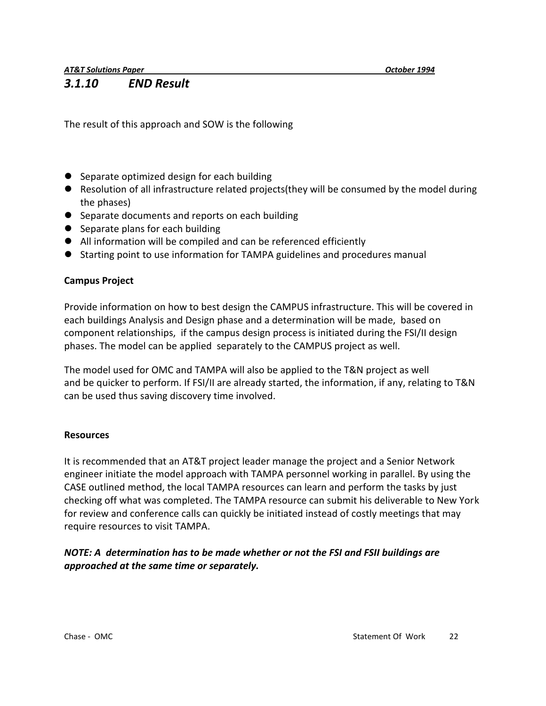*AT&T Solutions Paper October 1994*

#### *3.1.10 END Result*

The result of this approach and SOW is the following

- Separate optimized design for each building
- Resolution of all infrastructure related projects(they will be consumed by the model during the phases)
- Separate documents and reports on each building
- Separate plans for each building
- All information will be compiled and can be referenced efficiently
- Starting point to use information for TAMPA guidelines and procedures manual

#### **Campus Project**

Provide information on how to best design the CAMPUS infrastructure. This will be covered in each buildings Analysis and Design phase and a determination will be made, based on component relationships, if the campus design process is initiated during the FSI/II design phases. The model can be applied separately to the CAMPUS project as well.

The model used for OMC and TAMPA will also be applied to the T&N project as well and be quicker to perform. If FSI/II are already started, the information, if any, relating to T&N can be used thus saving discovery time involved.

#### **Resources**

It is recommended that an AT&T project leader manage the project and a Senior Network engineer initiate the model approach with TAMPA personnel working in parallel. By using the CASE outlined method, the local TAMPA resources can learn and perform the tasks by just checking off what was completed. The TAMPA resource can submit his deliverable to New York for review and conference calls can quickly be initiated instead of costly meetings that may require resources to visit TAMPA.

#### *NOTE: A determination has to be made whether or not the FSI and FSII buildings are approached at the same time or separately.*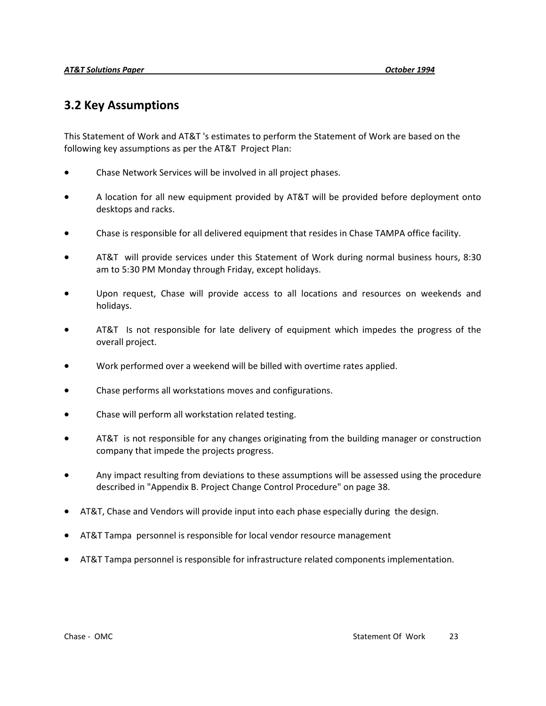### **3.2 Key Assumptions**

This Statement of Work and AT&T 's estimates to perform the Statement of Work are based on the following key assumptions as per the AT&T Project Plan:

- Chase Network Services will be involved in all project phases.
- A location for all new equipment provided by AT&T will be provided before deployment onto desktops and racks.
- Chase is responsible for all delivered equipment that resides in Chase TAMPA office facility.
- AT&T will provide services under this Statement of Work during normal business hours, 8:30 am to 5:30 PM Monday through Friday, except holidays.
- Upon request, Chase will provide access to all locations and resources on weekends and holidays.
- AT&T Is not responsible for late delivery of equipment which impedes the progress of the overall project.
- Work performed over a weekend will be billed with overtime rates applied.
- Chase performs all workstations moves and configurations.
- Chase will perform all workstation related testing.
- AT&T is not responsible for any changes originating from the building manager or construction company that impede the projects progress.
- Any impact resulting from deviations to these assumptions will be assessed using the procedure described in "Appendix B. Project Change Control Procedure" on page 38.
- AT&T, Chase and Vendors will provide input into each phase especially during the design.
- AT&T Tampa personnel is responsible for local vendor resource management
- AT&T Tampa personnel is responsible for infrastructure related components implementation.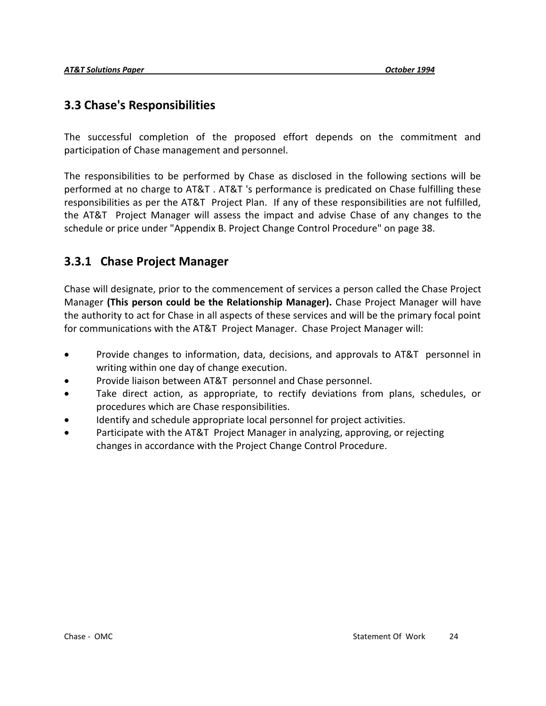### **3.3 Chase's Responsibilities**

The successful completion of the proposed effort depends on the commitment and participation of Chase management and personnel.

The responsibilities to be performed by Chase as disclosed in the following sections will be performed at no charge to AT&T . AT&T 's performance is predicated on Chase fulfilling these responsibilities as per the AT&T Project Plan. If any of these responsibilities are not fulfilled, the AT&T Project Manager will assess the impact and advise Chase of any changes to the schedule or price under "Appendix B. Project Change Control Procedure" on page 38.

### **3.3.1 Chase Project Manager**

Chase will designate, prior to the commencement of services a person called the Chase Project Manager **(This person could be the Relationship Manager).** Chase Project Manager will have the authority to act for Chase in all aspects of these services and will be the primary focal point for communications with the AT&T Project Manager. Chase Project Manager will:

- Provide changes to information, data, decisions, and approvals to AT&T personnel in writing within one day of change execution.
- Provide liaison between AT&T personnel and Chase personnel.
- Take direct action, as appropriate, to rectify deviations from plans, schedules, or procedures which are Chase responsibilities.
- Identify and schedule appropriate local personnel for project activities.
- Participate with the AT&T Project Manager in analyzing, approving, or rejecting changes in accordance with the Project Change Control Procedure.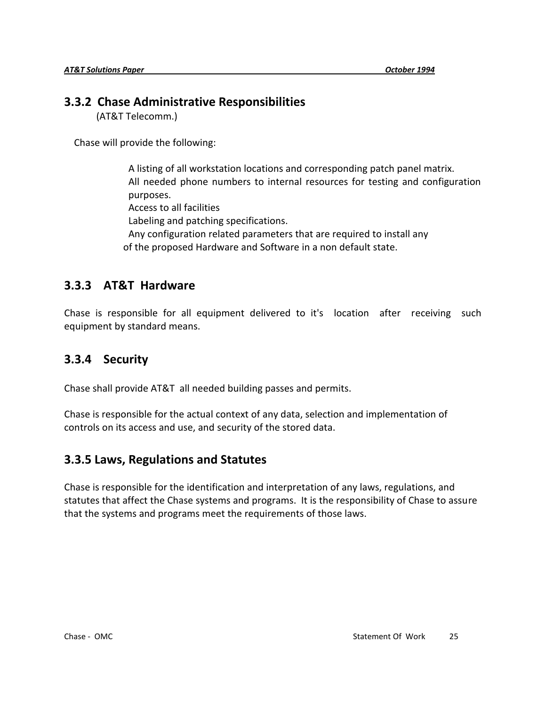### **3.3.2 Chase Administrative Responsibilities**

(AT&T Telecomm.)

Chase will provide the following:

A listing of all workstation locations and corresponding patch panel matrix. All needed phone numbers to internal resources for testing and configuration purposes. Access to all facilities Labeling and patching specifications. Any configuration related parameters that are required to install any of the proposed Hardware and Software in a non default state.

### **3.3.3 AT&T Hardware**

Chase is responsible for all equipment delivered to it's location after receiving such equipment by standard means.

### **3.3.4 Security**

Chase shall provide AT&T all needed building passes and permits.

Chase is responsible for the actual context of any data, selection and implementation of controls on its access and use, and security of the stored data.

### **3.3.5 Laws, Regulations and Statutes**

Chase is responsible for the identification and interpretation of any laws, regulations, and statutes that affect the Chase systems and programs. It is the responsibility of Chase to assure that the systems and programs meet the requirements of those laws.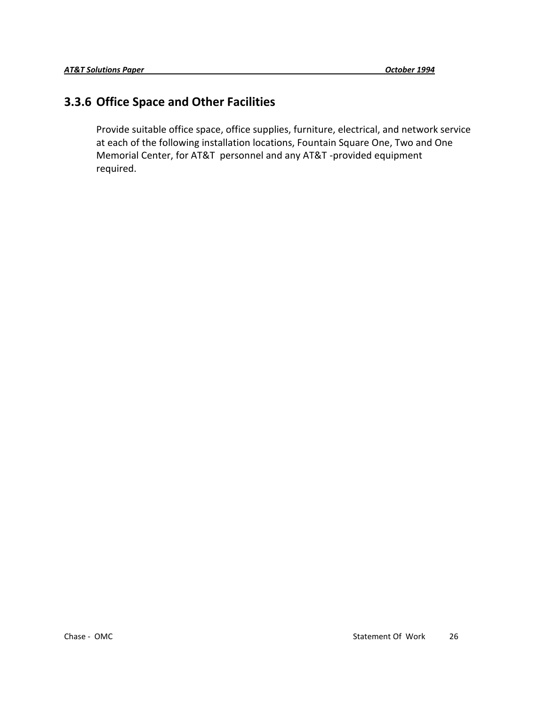### **3.3.6 Office Space and Other Facilities**

Provide suitable office space, office supplies, furniture, electrical, and network service at each of the following installation locations, Fountain Square One, Two and One Memorial Center, for AT&T personnel and any AT&T -provided equipment required.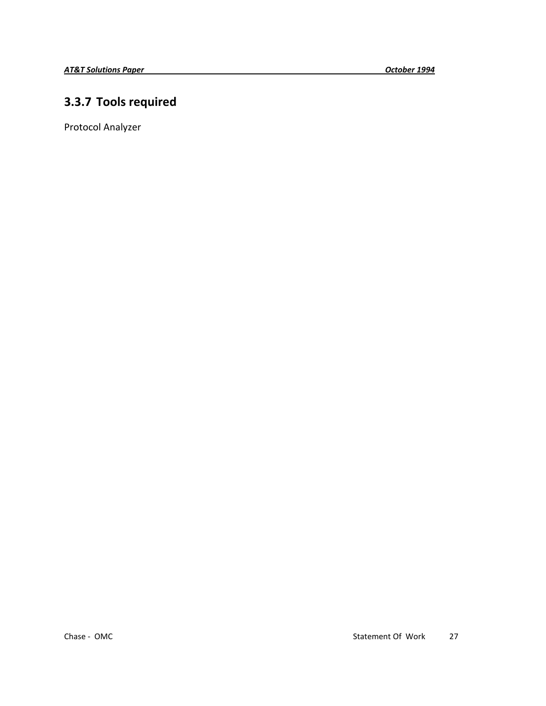# **3.3.7 Tools required**

Protocol Analyzer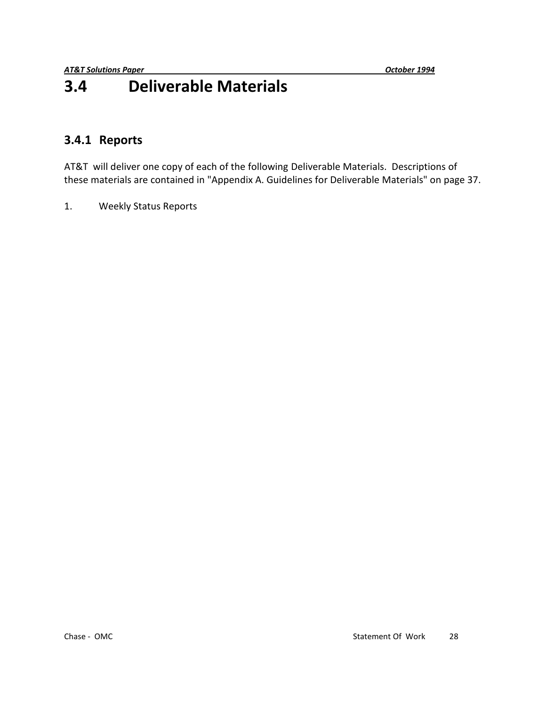# **3.4 Deliverable Materials**

### **3.4.1 Reports**

AT&T will deliver one copy of each of the following Deliverable Materials. Descriptions of these materials are contained in "Appendix A. Guidelines for Deliverable Materials" on page 37.

1. Weekly Status Reports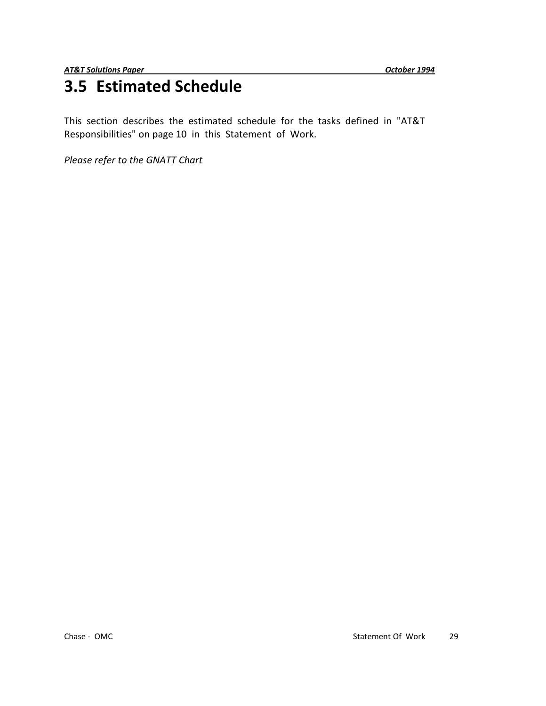# **3.5 Estimated Schedule**

This section describes the estimated schedule for the tasks defined in "AT&T Responsibilities" on page 10 in this Statement of Work.

*Please refer to the GNATT Chart*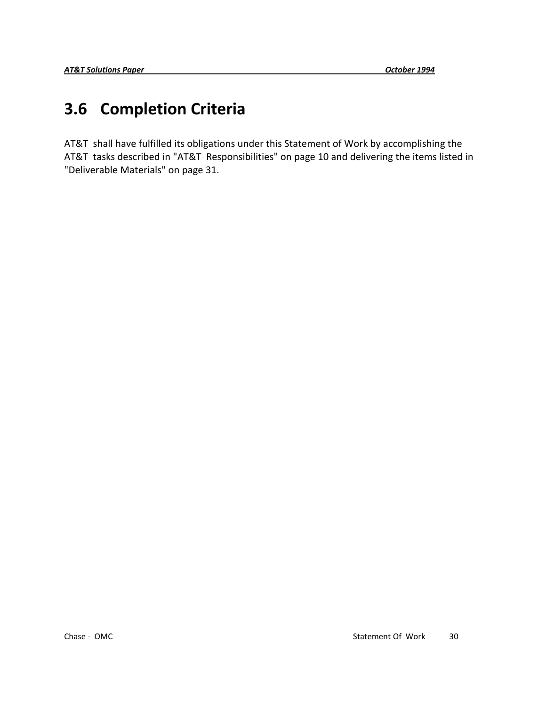# **3.6 Completion Criteria**

AT&T shall have fulfilled its obligations under this Statement of Work by accomplishing the AT&T tasks described in "AT&T Responsibilities" on page 10 and delivering the items listed in "Deliverable Materials" on page 31.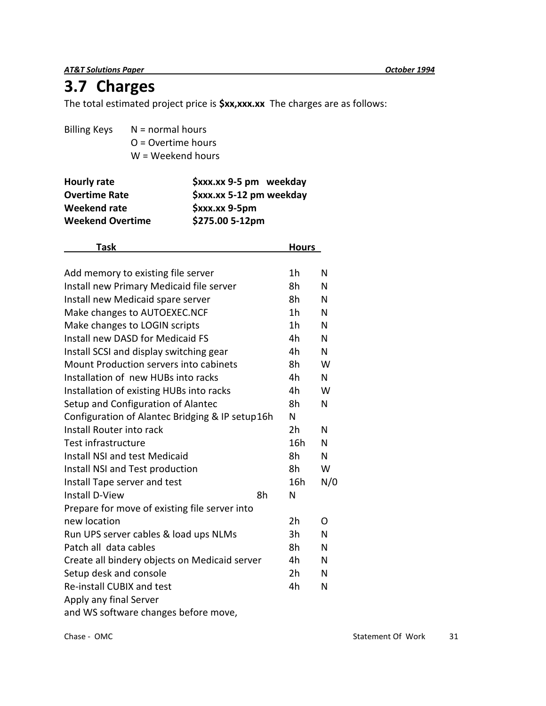*AT&T Solutions Paper October 1994*

# **3.7 Charges**

The total estimated project price is **\$xx,xxx.xx** The charges are as follows:

| <b>Billing Keys</b> | $N = normal hours$   |
|---------------------|----------------------|
|                     | $O =$ Overtime hours |
|                     | $W = Weekend hours$  |
|                     |                      |

| Hourly rate             | \$xxx.xx 9-5 pm weekday  |
|-------------------------|--------------------------|
| <b>Overtime Rate</b>    | \$xxx.xx 5-12 pm weekday |
| Weekend rate            | $$xxx.xx 9-5pm$          |
| <b>Weekend Overtime</b> | \$275.00 5-12pm          |

| <b>Task</b>                                     |    | <b>Hours</b>   |     |
|-------------------------------------------------|----|----------------|-----|
|                                                 |    |                |     |
| Add memory to existing file server              |    | 1h             | N   |
| Install new Primary Medicaid file server        |    | 8h             | N   |
| Install new Medicaid spare server               |    | 8h             | N   |
| Make changes to AUTOEXEC.NCF                    |    | 1 <sub>h</sub> | N   |
| Make changes to LOGIN scripts                   |    | 1 <sub>h</sub> | N   |
| Install new DASD for Medicaid FS                |    | 4h             | N   |
| Install SCSI and display switching gear         |    | 4h             | N   |
| Mount Production servers into cabinets          |    | 8h             | W   |
| Installation of new HUBs into racks             |    | 4h             | N   |
| Installation of existing HUBs into racks        |    | 4h             | W   |
| Setup and Configuration of Alantec              |    | 8h             | N   |
| Configuration of Alantec Bridging & IP setup16h |    | N              |     |
| Install Router into rack                        |    | 2 <sub>h</sub> | N   |
| Test infrastructure                             |    | 16h            | N   |
| Install NSI and test Medicaid                   |    | 8h             | N   |
| Install NSI and Test production                 |    | 8h             | W   |
| Install Tape server and test                    |    | 16h            | N/0 |
| Install D-View                                  | 8h | N              |     |
| Prepare for move of existing file server into   |    |                |     |
| new location                                    |    | 2 <sub>h</sub> | O   |
| Run UPS server cables & load ups NLMs           |    | 3h             | N   |
| Patch all data cables                           |    | 8h             | N   |
| Create all bindery objects on Medicaid server   |    | 4h             | N   |
| Setup desk and console                          |    | 2 <sub>h</sub> | N   |
| Re-install CUBIX and test                       |    | 4h             | N   |
| Apply any final Server                          |    |                |     |
| and WS software changes before move,            |    |                |     |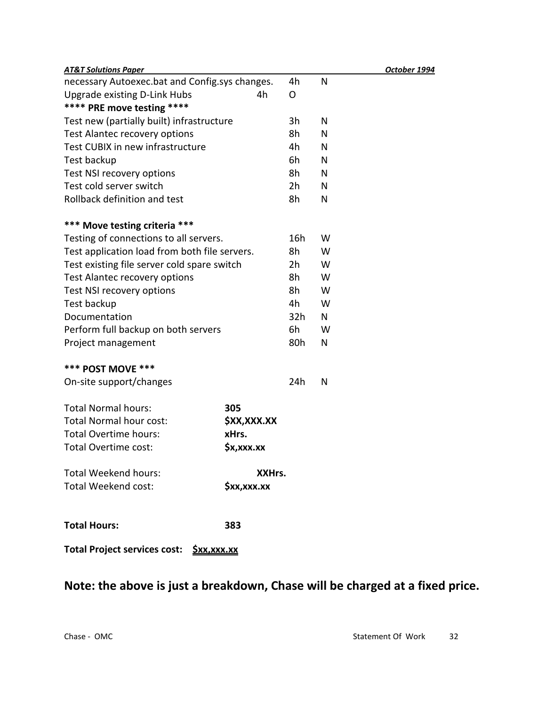| <b>AT&amp;T Solutions Paper</b>                           |             |                |   |  |
|-----------------------------------------------------------|-------------|----------------|---|--|
| necessary Autoexec.bat and Config.sys changes.            |             | 4h             | N |  |
| Upgrade existing D-Link Hubs                              | 4h          | O              |   |  |
| **** PRE move testing ****                                |             |                |   |  |
| Test new (partially built) infrastructure                 |             | 3h             | N |  |
| Test Alantec recovery options                             |             | 8h             | N |  |
| Test CUBIX in new infrastructure                          |             | 4h             | N |  |
| Test backup                                               |             | 6h             | N |  |
| Test NSI recovery options                                 |             | 8h             | N |  |
| Test cold server switch                                   |             | 2h             | N |  |
| Rollback definition and test                              |             | 8h             | N |  |
| *** Move testing criteria ***                             |             |                |   |  |
| Testing of connections to all servers.                    |             | 16h            | W |  |
| Test application load from both file servers.             |             | 8h             | W |  |
| Test existing file server cold spare switch               |             | 2 <sub>h</sub> | W |  |
| Test Alantec recovery options                             |             | 8h             | W |  |
| Test NSI recovery options                                 |             | 8h             | W |  |
| Test backup                                               |             | 4h             | W |  |
| Documentation                                             |             | 32h            | N |  |
| Perform full backup on both servers                       |             | 6h             | W |  |
| Project management                                        |             | 80h            | N |  |
| *** POST MOVE ***                                         |             |                |   |  |
| On-site support/changes                                   |             | 24h            | N |  |
| <b>Total Normal hours:</b>                                | 305         |                |   |  |
| Total Normal hour cost:                                   | \$XX,XXX.XX |                |   |  |
| Total Overtime hours:                                     | xHrs.       |                |   |  |
| Total Overtime cost:                                      | \$x,xxx.xx  |                |   |  |
| <b>Total Weekend hours:</b>                               | XXHrs.      |                |   |  |
| Total Weekend cost:                                       | \$xx,xxx.xx |                |   |  |
| <b>Total Hours:</b>                                       | 383         |                |   |  |
| <b>Total Project services cost:</b><br><u> Şxx,xxx.xx</u> |             |                |   |  |

# **Note: the above is just a breakdown, Chase will be charged at a fixed price.**

*AT&T Solutions Paper October 1994*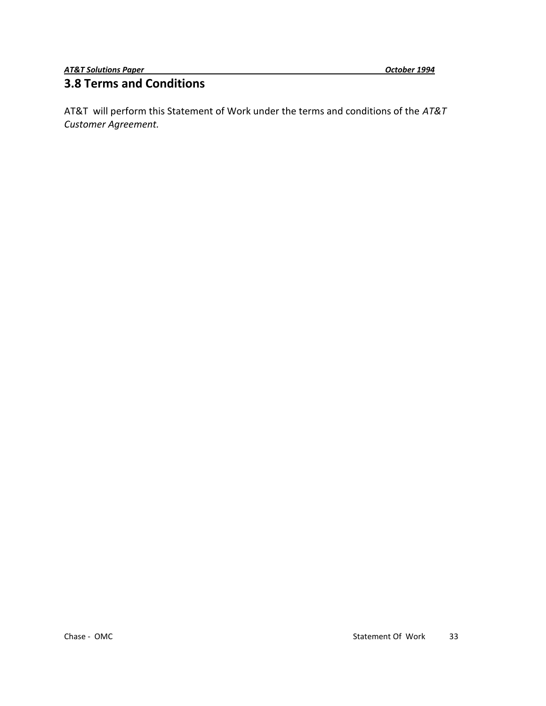#### **3.8 Terms and Conditions**

AT&T will perform this Statement of Work under the terms and conditions of the *AT&T Customer Agreement.*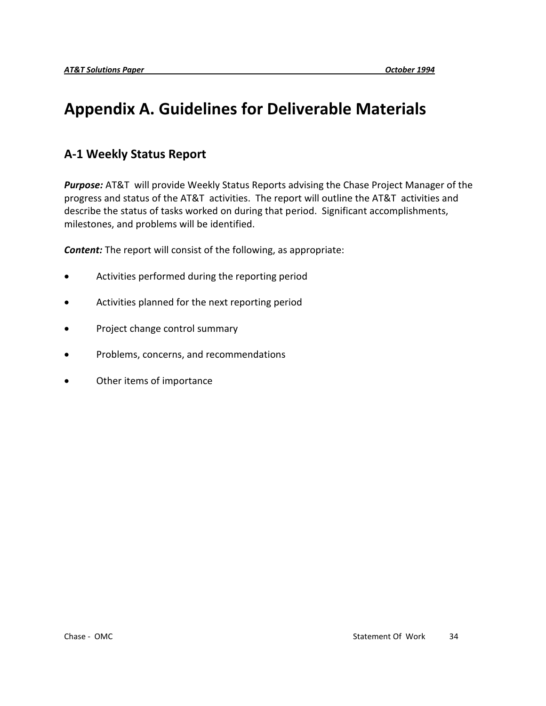# **Appendix A. Guidelines for Deliverable Materials**

## **A-1 Weekly Status Report**

*Purpose:* AT&T will provide Weekly Status Reports advising the Chase Project Manager of the progress and status of the AT&T activities. The report will outline the AT&T activities and describe the status of tasks worked on during that period. Significant accomplishments, milestones, and problems will be identified.

*Content:* The report will consist of the following, as appropriate:

- Activities performed during the reporting period
- Activities planned for the next reporting period
- Project change control summary
- Problems, concerns, and recommendations
- Other items of importance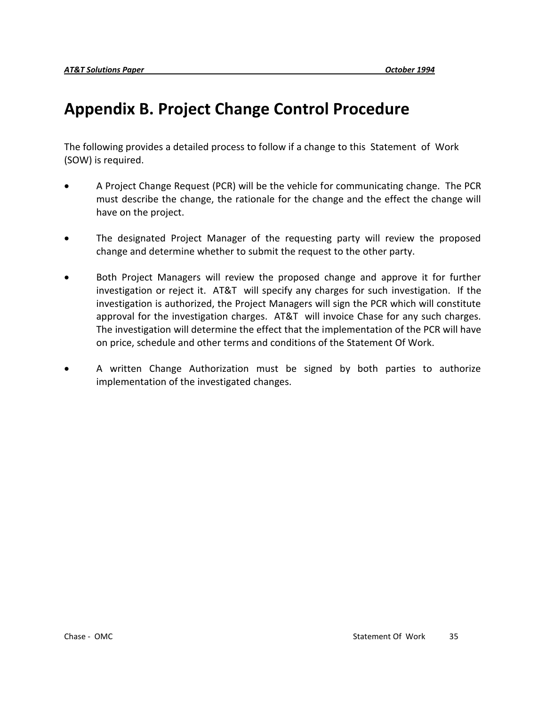# **Appendix B. Project Change Control Procedure**

The following provides a detailed process to follow if a change to this Statement of Work (SOW) is required.

- A Project Change Request (PCR) will be the vehicle for communicating change. The PCR must describe the change, the rationale for the change and the effect the change will have on the project.
- The designated Project Manager of the requesting party will review the proposed change and determine whether to submit the request to the other party.
- Both Project Managers will review the proposed change and approve it for further investigation or reject it. AT&T will specify any charges for such investigation. If the investigation is authorized, the Project Managers will sign the PCR which will constitute approval for the investigation charges. AT&T will invoice Chase for any such charges. The investigation will determine the effect that the implementation of the PCR will have on price, schedule and other terms and conditions of the Statement Of Work*.*
- A written Change Authorization must be signed by both parties to authorize implementation of the investigated changes.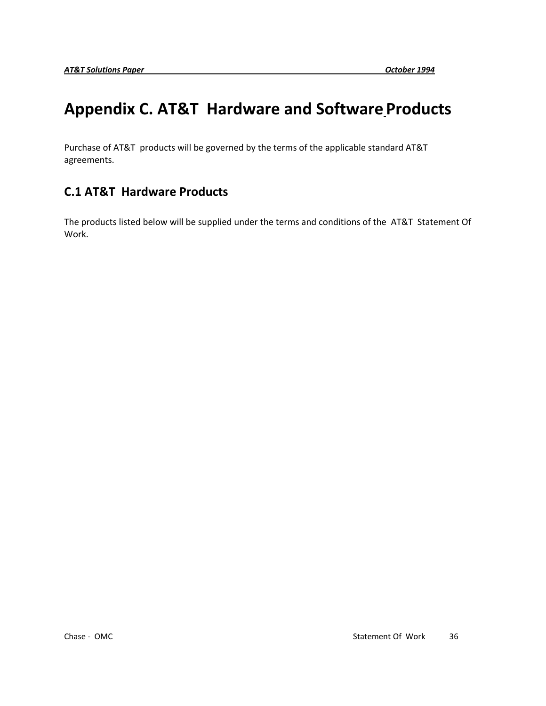# **Appendix C. AT&T Hardware and Software Products**

Purchase of AT&T products will be governed by the terms of the applicable standard AT&T agreements.

# **C.1 AT&T Hardware Products**

The products listed below will be supplied under the terms and conditions of the AT&T Statement Of Work.